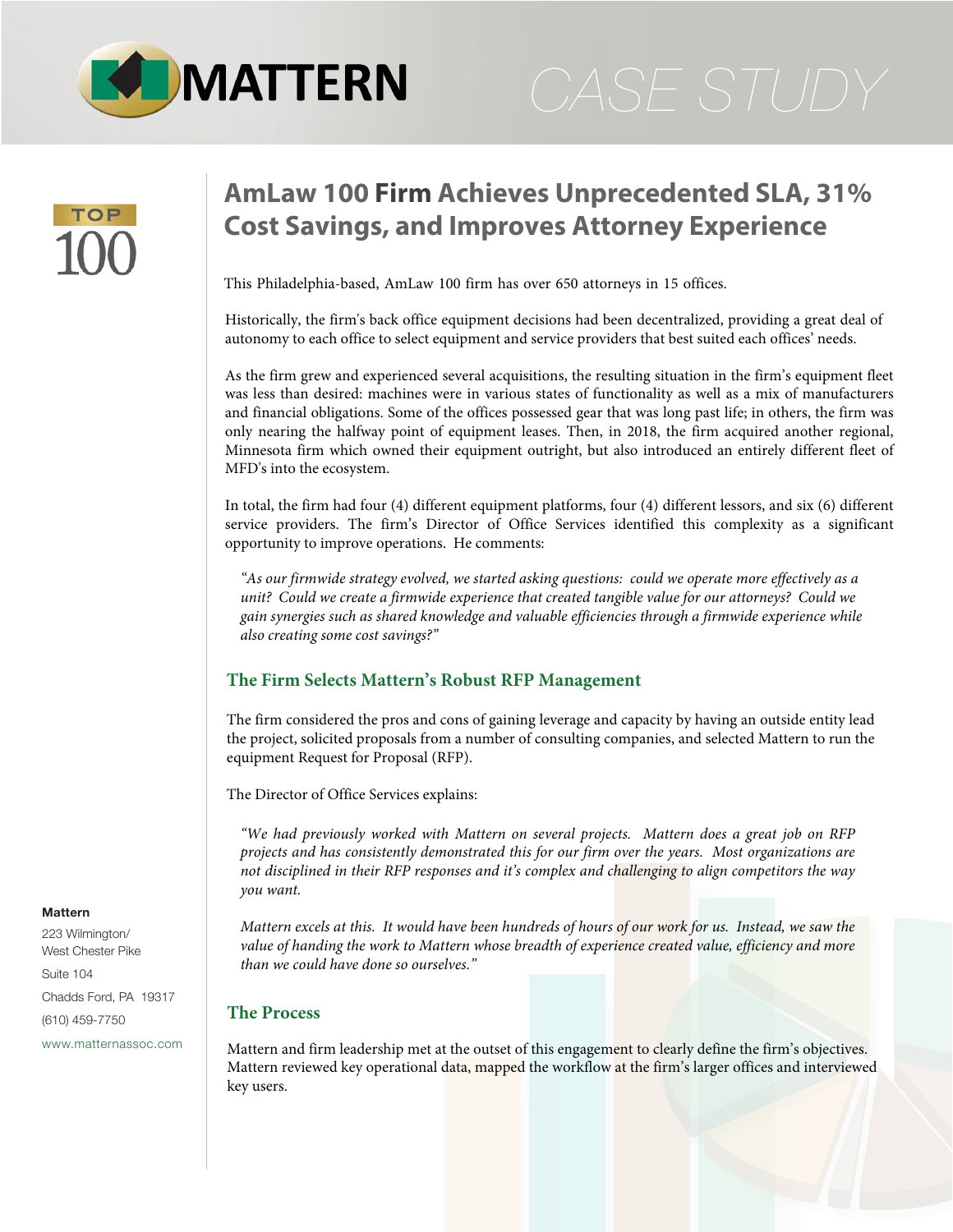

# **AmLaw 100 Firm Achieves Unprecedented SLA, 31% Cost Savings, and Improves Attorney Experience**

This Philadelphia-based, AmLaw 100 firm has over 650 attorneys in 15 offices.

Historically, the firm's back office equipment decisions had been decentralized, providing a great deal of autonomy to each office to select equipment and service providers that best suited each offices' needs.

As the firm grew and experienced several acquisitions, the resulting situation in the firm's equipment fleet was less than desired: machines were in various states of functionality as well as a mix of manufacturers and financial obligations. Some of the offices possessed gear that was long past life; in others, the firm was only nearing the halfway point of equipment leases. Then, in 2018, the firm acquired another regional, Minnesota firm which owned their equipment outright, but also introduced an entirely different fleet of MFD's into the ecosystem.

In total, the firm had four (4) different equipment platforms, four (4) different lessors, and six (6) different service providers. The firm's Director of Office Services identified this complexity as a significant opportunity to improve operations. He comments:

*"As our firmwide strategy evolved, we started asking questions: could we operate more effectively as a unit? Could we create a firmwide experience that created tangible value for our attorneys? Could we gain synergies such as shared knowledge and valuable efficiencies through a firmwide experience while also creating some cost savings?"*

# **The Firm Selects Mattern's Robust RFP Management**

The firm considered the pros and cons of gaining leverage and capacity by having an outside entity lead the project, solicited proposals from a number of consulting companies, and selected Mattern to run the equipment Request for Proposal (RFP).

The Director of Office Services explains:

*"We had previously worked with Mattern on several projects. Mattern does a great job on RFP projects and has consistently demonstrated this for our firm over the years. Most organizations are not disciplined in their RFP responses and it's complex and challenging to align competitors the way you want.* 

*Mattern excels at this. It would have been hundreds of hours of our work for us. Instead, we saw the value of handing the work to Mattern whose breadth of experience created value, efficiency and more than we could have done so ourselves."*

### **The Process**

Mattern and firm leadership met at the outset of this engagement to clearly define the firm's objectives. Mattern reviewed key operational data, mapped the workflow at the firm's larger offices and interviewed key users.

### **Mattern**

223 Wilmington/ West Chester Pike

Suite 104 Chadds Ford, PA 19317 (610) 459-7750

[www.matternassoc.com](http://www.matternassoc.com)